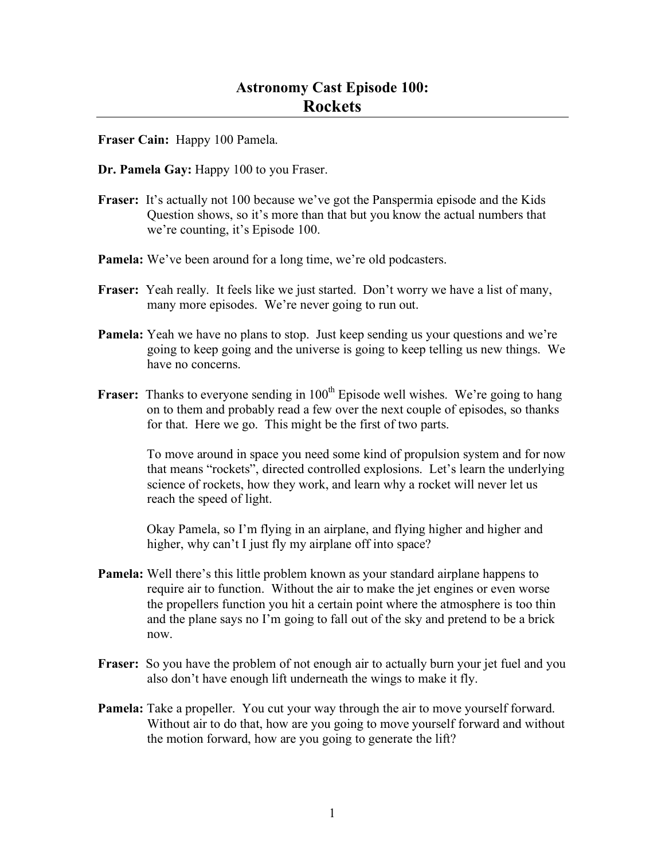**Fraser Cain:** Happy 100 Pamela.

- **Dr. Pamela Gay:** Happy 100 to you Fraser.
- **Fraser:** It's actually not 100 because we've got the Panspermia episode and the Kids Question shows, so it's more than that but you know the actual numbers that we're counting, it's Episode 100.
- **Pamela:** We've been around for a long time, we're old podcasters.
- **Fraser:** Yeah really. It feels like we just started. Don't worry we have a list of many, many more episodes. We're never going to run out.
- **Pamela:** Yeah we have no plans to stop. Just keep sending us your questions and we're going to keep going and the universe is going to keep telling us new things. We have no concerns.
- **Fraser:** Thanks to everyone sending in 100<sup>th</sup> Episode well wishes. We're going to hang on to them and probably read a few over the next couple of episodes, so thanks for that. Here we go. This might be the first of two parts.

To move around in space you need some kind of propulsion system and for now that means "rockets", directed controlled explosions. Let's learn the underlying science of rockets, how they work, and learn why a rocket will never let us reach the speed of light.

Okay Pamela, so I'm flying in an airplane, and flying higher and higher and higher, why can't I just fly my airplane off into space?

- **Pamela:** Well there's this little problem known as your standard airplane happens to require air to function. Without the air to make the jet engines or even worse the propellers function you hit a certain point where the atmosphere is too thin and the plane says no I'm going to fall out of the sky and pretend to be a brick now.
- **Fraser:** So you have the problem of not enough air to actually burn your jet fuel and you also don't have enough lift underneath the wings to make it fly.
- **Pamela:** Take a propeller. You cut your way through the air to move yourself forward. Without air to do that, how are you going to move yourself forward and without the motion forward, how are you going to generate the lift?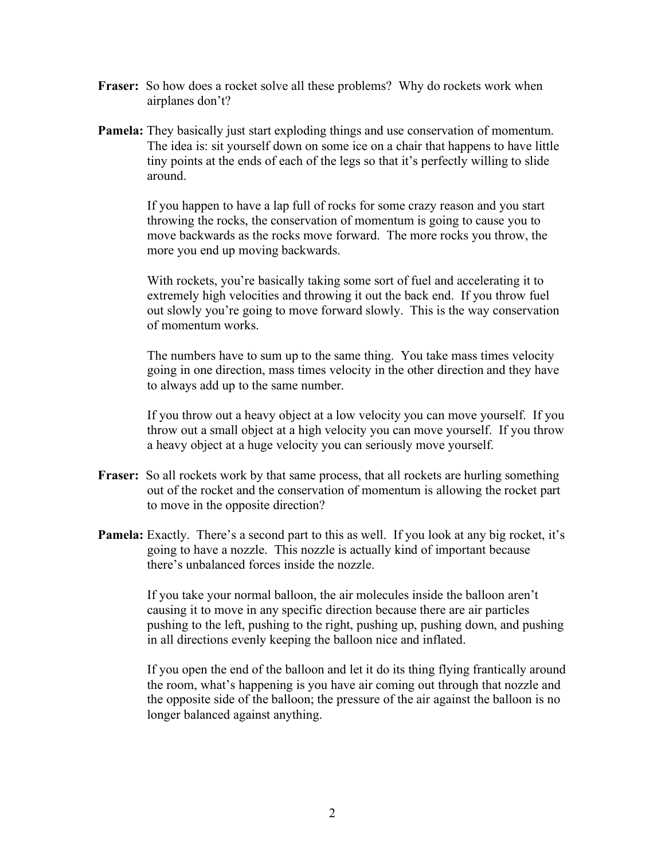- Fraser: So how does a rocket solve all these problems? Why do rockets work when airplanes don't?
- **Pamela:** They basically just start exploding things and use conservation of momentum. The idea is: sit yourself down on some ice on a chair that happens to have little tiny points at the ends of each of the legs so that it's perfectly willing to slide around.

If you happen to have a lap full of rocks for some crazy reason and you start throwing the rocks, the conservation of momentum is going to cause you to move backwards as the rocks move forward. The more rocks you throw, the more you end up moving backwards.

With rockets, you're basically taking some sort of fuel and accelerating it to extremely high velocities and throwing it out the back end. If you throw fuel out slowly you're going to move forward slowly. This is the way conservation of momentum works.

The numbers have to sum up to the same thing. You take mass times velocity going in one direction, mass times velocity in the other direction and they have to always add up to the same number.

If you throw out a heavy object at a low velocity you can move yourself. If you throw out a small object at a high velocity you can move yourself. If you throw a heavy object at a huge velocity you can seriously move yourself.

- **Fraser:** So all rockets work by that same process, that all rockets are hurling something out of the rocket and the conservation of momentum is allowing the rocket part to move in the opposite direction?
- **Pamela:** Exactly. There's a second part to this as well. If you look at any big rocket, it's going to have a nozzle. This nozzle is actually kind of important because there's unbalanced forces inside the nozzle.

If you take your normal balloon, the air molecules inside the balloon aren't causing it to move in any specific direction because there are air particles pushing to the left, pushing to the right, pushing up, pushing down, and pushing in all directions evenly keeping the balloon nice and inflated.

If you open the end of the balloon and let it do its thing flying frantically around the room, what's happening is you have air coming out through that nozzle and the opposite side of the balloon; the pressure of the air against the balloon is no longer balanced against anything.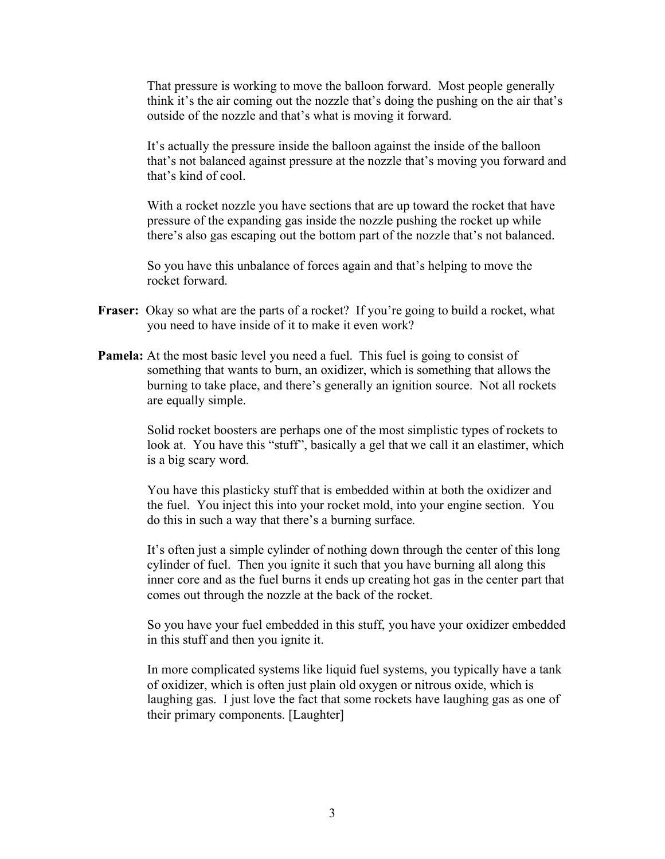That pressure is working to move the balloon forward. Most people generally think it's the air coming out the nozzle that's doing the pushing on the air that's outside of the nozzle and that's what is moving it forward.

It's actually the pressure inside the balloon against the inside of the balloon that's not balanced against pressure at the nozzle that's moving you forward and that's kind of cool.

With a rocket nozzle you have sections that are up toward the rocket that have pressure of the expanding gas inside the nozzle pushing the rocket up while there's also gas escaping out the bottom part of the nozzle that's not balanced.

So you have this unbalance of forces again and that's helping to move the rocket forward.

- **Fraser:** Okay so what are the parts of a rocket? If you're going to build a rocket, what you need to have inside of it to make it even work?
- **Pamela:** At the most basic level you need a fuel. This fuel is going to consist of something that wants to burn, an oxidizer, which is something that allows the burning to take place, and there's generally an ignition source. Not all rockets are equally simple.

Solid rocket boosters are perhaps one of the most simplistic types of rockets to look at. You have this "stuff", basically a gel that we call it an elastimer, which is a big scary word.

You have this plasticky stuff that is embedded within at both the oxidizer and the fuel. You inject this into your rocket mold, into your engine section. You do this in such a way that there's a burning surface.

It's often just a simple cylinder of nothing down through the center of this long cylinder of fuel. Then you ignite it such that you have burning all along this inner core and as the fuel burns it ends up creating hot gas in the center part that comes out through the nozzle at the back of the rocket.

So you have your fuel embedded in this stuff, you have your oxidizer embedded in this stuff and then you ignite it.

In more complicated systems like liquid fuel systems, you typically have a tank of oxidizer, which is often just plain old oxygen or nitrous oxide, which is laughing gas. I just love the fact that some rockets have laughing gas as one of their primary components. [Laughter]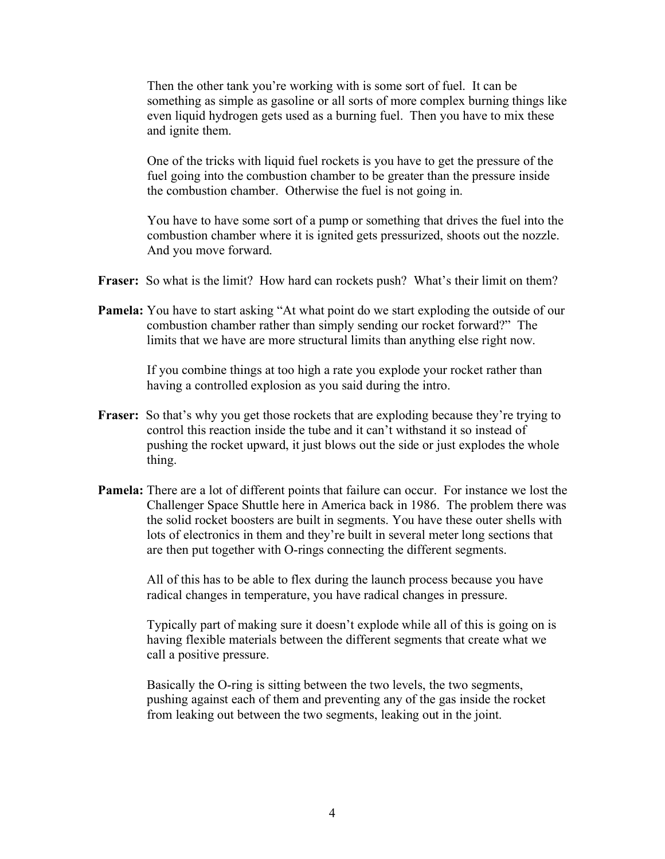Then the other tank you're working with is some sort of fuel. It can be something as simple as gasoline or all sorts of more complex burning things like even liquid hydrogen gets used as a burning fuel. Then you have to mix these and ignite them.

One of the tricks with liquid fuel rockets is you have to get the pressure of the fuel going into the combustion chamber to be greater than the pressure inside the combustion chamber. Otherwise the fuel is not going in.

You have to have some sort of a pump or something that drives the fuel into the combustion chamber where it is ignited gets pressurized, shoots out the nozzle. And you move forward.

- **Fraser:** So what is the limit? How hard can rockets push? What's their limit on them?
- **Pamela:** You have to start asking "At what point do we start exploding the outside of our combustion chamber rather than simply sending our rocket forward?" The limits that we have are more structural limits than anything else right now.

If you combine things at too high a rate you explode your rocket rather than having a controlled explosion as you said during the intro.

- **Fraser:** So that's why you get those rockets that are exploding because they're trying to control this reaction inside the tube and it can't withstand it so instead of pushing the rocket upward, it just blows out the side or just explodes the whole thing.
- **Pamela:** There are a lot of different points that failure can occur. For instance we lost the Challenger Space Shuttle here in America back in 1986. The problem there was the solid rocket boosters are built in segments. You have these outer shells with lots of electronics in them and they're built in several meter long sections that are then put together with O-rings connecting the different segments.

All of this has to be able to flex during the launch process because you have radical changes in temperature, you have radical changes in pressure.

Typically part of making sure it doesn't explode while all of this is going on is having flexible materials between the different segments that create what we call a positive pressure.

Basically the O-ring is sitting between the two levels, the two segments, pushing against each of them and preventing any of the gas inside the rocket from leaking out between the two segments, leaking out in the joint.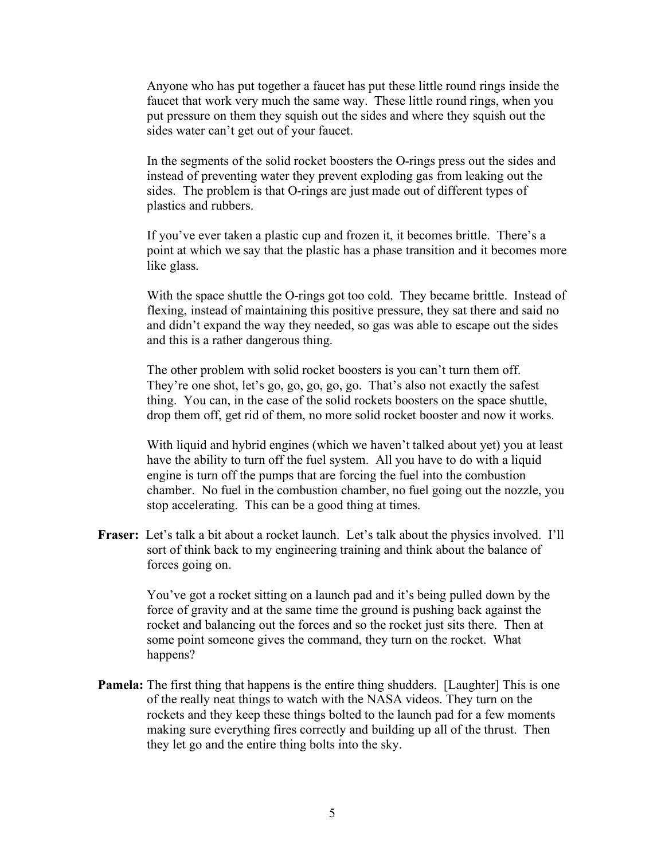Anyone who has put together a faucet has put these little round rings inside the faucet that work very much the same way. These little round rings, when you put pressure on them they squish out the sides and where they squish out the sides water can't get out of your faucet.

In the segments of the solid rocket boosters the O-rings press out the sides and instead of preventing water they prevent exploding gas from leaking out the sides. The problem is that O-rings are just made out of different types of plastics and rubbers.

If you've ever taken a plastic cup and frozen it, it becomes brittle. There's a point at which we say that the plastic has a phase transition and it becomes more like glass.

With the space shuttle the O-rings got too cold. They became brittle. Instead of flexing, instead of maintaining this positive pressure, they sat there and said no and didn't expand the way they needed, so gas was able to escape out the sides and this is a rather dangerous thing.

The other problem with solid rocket boosters is you can't turn them off. They're one shot, let's go, go, go, go, go. That's also not exactly the safest thing. You can, in the case of the solid rockets boosters on the space shuttle, drop them off, get rid of them, no more solid rocket booster and now it works.

With liquid and hybrid engines (which we haven't talked about yet) you at least have the ability to turn off the fuel system. All you have to do with a liquid engine is turn off the pumps that are forcing the fuel into the combustion chamber. No fuel in the combustion chamber, no fuel going out the nozzle, you stop accelerating. This can be a good thing at times.

**Fraser:** Let's talk a bit about a rocket launch. Let's talk about the physics involved. I'll sort of think back to my engineering training and think about the balance of forces going on.

> You've got a rocket sitting on a launch pad and it's being pulled down by the force of gravity and at the same time the ground is pushing back against the rocket and balancing out the forces and so the rocket just sits there. Then at some point someone gives the command, they turn on the rocket. What happens?

**Pamela:** The first thing that happens is the entire thing shudders. [Laughter] This is one of the really neat things to watch with the NASA videos. They turn on the rockets and they keep these things bolted to the launch pad for a few moments making sure everything fires correctly and building up all of the thrust. Then they let go and the entire thing bolts into the sky.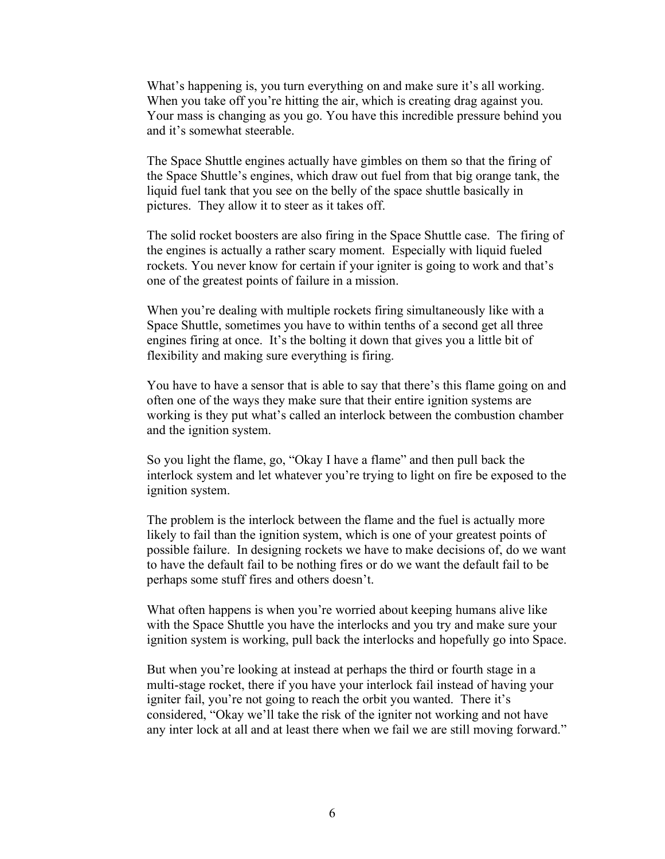What's happening is, you turn everything on and make sure it's all working. When you take off you're hitting the air, which is creating drag against you. Your mass is changing as you go. You have this incredible pressure behind you and it's somewhat steerable.

The Space Shuttle engines actually have gimbles on them so that the firing of the Space Shuttle's engines, which draw out fuel from that big orange tank, the liquid fuel tank that you see on the belly of the space shuttle basically in pictures. They allow it to steer as it takes off.

The solid rocket boosters are also firing in the Space Shuttle case. The firing of the engines is actually a rather scary moment. Especially with liquid fueled rockets. You never know for certain if your igniter is going to work and that's one of the greatest points of failure in a mission.

When you're dealing with multiple rockets firing simultaneously like with a Space Shuttle, sometimes you have to within tenths of a second get all three engines firing at once. It's the bolting it down that gives you a little bit of flexibility and making sure everything is firing.

You have to have a sensor that is able to say that there's this flame going on and often one of the ways they make sure that their entire ignition systems are working is they put what's called an interlock between the combustion chamber and the ignition system.

So you light the flame, go, "Okay I have a flame" and then pull back the interlock system and let whatever you're trying to light on fire be exposed to the ignition system.

The problem is the interlock between the flame and the fuel is actually more likely to fail than the ignition system, which is one of your greatest points of possible failure. In designing rockets we have to make decisions of, do we want to have the default fail to be nothing fires or do we want the default fail to be perhaps some stuff fires and others doesn't.

What often happens is when you're worried about keeping humans alive like with the Space Shuttle you have the interlocks and you try and make sure your ignition system is working, pull back the interlocks and hopefully go into Space.

But when you're looking at instead at perhaps the third or fourth stage in a multi-stage rocket, there if you have your interlock fail instead of having your igniter fail, you're not going to reach the orbit you wanted. There it's considered, "Okay we'll take the risk of the igniter not working and not have any inter lock at all and at least there when we fail we are still moving forward."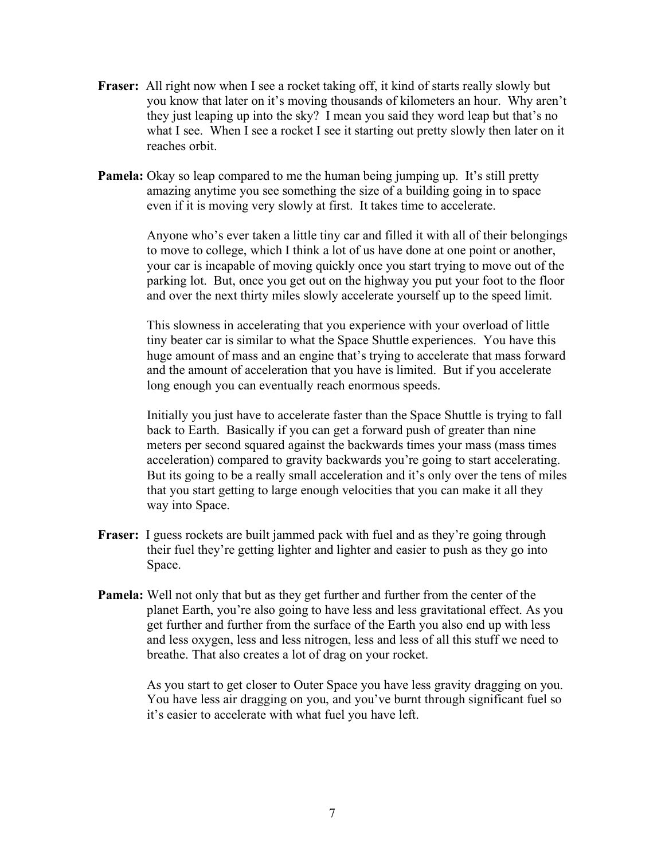- **Fraser:** All right now when I see a rocket taking off, it kind of starts really slowly but you know that later on it's moving thousands of kilometers an hour. Why aren't they just leaping up into the sky? I mean you said they word leap but that's no what I see. When I see a rocket I see it starting out pretty slowly then later on it reaches orbit.
- **Pamela:** Okay so leap compared to me the human being jumping up. It's still pretty amazing anytime you see something the size of a building going in to space even if it is moving very slowly at first. It takes time to accelerate.

Anyone who's ever taken a little tiny car and filled it with all of their belongings to move to college, which I think a lot of us have done at one point or another, your car is incapable of moving quickly once you start trying to move out of the parking lot. But, once you get out on the highway you put your foot to the floor and over the next thirty miles slowly accelerate yourself up to the speed limit.

This slowness in accelerating that you experience with your overload of little tiny beater car is similar to what the Space Shuttle experiences. You have this huge amount of mass and an engine that's trying to accelerate that mass forward and the amount of acceleration that you have is limited. But if you accelerate long enough you can eventually reach enormous speeds.

Initially you just have to accelerate faster than the Space Shuttle is trying to fall back to Earth. Basically if you can get a forward push of greater than nine meters per second squared against the backwards times your mass (mass times acceleration) compared to gravity backwards you're going to start accelerating. But its going to be a really small acceleration and it's only over the tens of miles that you start getting to large enough velocities that you can make it all they way into Space.

- **Fraser:** I guess rockets are built jammed pack with fuel and as they're going through their fuel they're getting lighter and lighter and easier to push as they go into Space.
- **Pamela:** Well not only that but as they get further and further from the center of the planet Earth, you're also going to have less and less gravitational effect. As you get further and further from the surface of the Earth you also end up with less and less oxygen, less and less nitrogen, less and less of all this stuff we need to breathe. That also creates a lot of drag on your rocket.

As you start to get closer to Outer Space you have less gravity dragging on you. You have less air dragging on you, and you've burnt through significant fuel so it's easier to accelerate with what fuel you have left.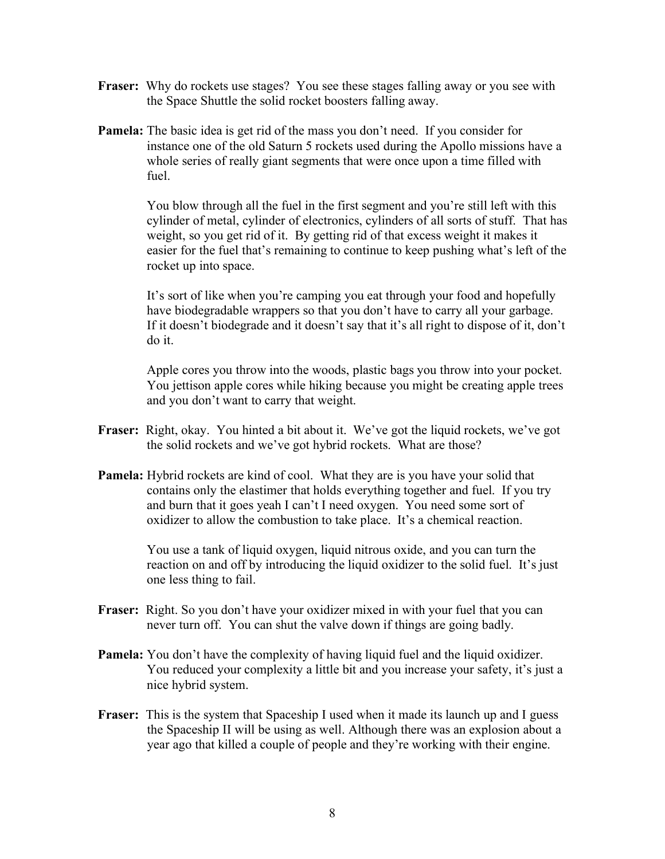- **Fraser:** Why do rockets use stages? You see these stages falling away or you see with the Space Shuttle the solid rocket boosters falling away.
- **Pamela:** The basic idea is get rid of the mass you don't need. If you consider for instance one of the old Saturn 5 rockets used during the Apollo missions have a whole series of really giant segments that were once upon a time filled with fuel.

You blow through all the fuel in the first segment and you're still left with this cylinder of metal, cylinder of electronics, cylinders of all sorts of stuff. That has weight, so you get rid of it. By getting rid of that excess weight it makes it easier for the fuel that's remaining to continue to keep pushing what's left of the rocket up into space.

It's sort of like when you're camping you eat through your food and hopefully have biodegradable wrappers so that you don't have to carry all your garbage. If it doesn't biodegrade and it doesn't say that it's all right to dispose of it, don't do it.

Apple cores you throw into the woods, plastic bags you throw into your pocket. You jettison apple cores while hiking because you might be creating apple trees and you don't want to carry that weight.

- **Fraser:** Right, okay. You hinted a bit about it. We've got the liquid rockets, we've got the solid rockets and we've got hybrid rockets. What are those?
- **Pamela:** Hybrid rockets are kind of cool. What they are is you have your solid that contains only the elastimer that holds everything together and fuel. If you try and burn that it goes yeah I can't I need oxygen. You need some sort of oxidizer to allow the combustion to take place. It's a chemical reaction.

You use a tank of liquid oxygen, liquid nitrous oxide, and you can turn the reaction on and off by introducing the liquid oxidizer to the solid fuel. It's just one less thing to fail.

- **Fraser:** Right. So you don't have your oxidizer mixed in with your fuel that you can never turn off. You can shut the valve down if things are going badly.
- **Pamela:** You don't have the complexity of having liquid fuel and the liquid oxidizer. You reduced your complexity a little bit and you increase your safety, it's just a nice hybrid system.
- **Fraser:** This is the system that Spaceship I used when it made its launch up and I guess the Spaceship II will be using as well. Although there was an explosion about a year ago that killed a couple of people and they're working with their engine.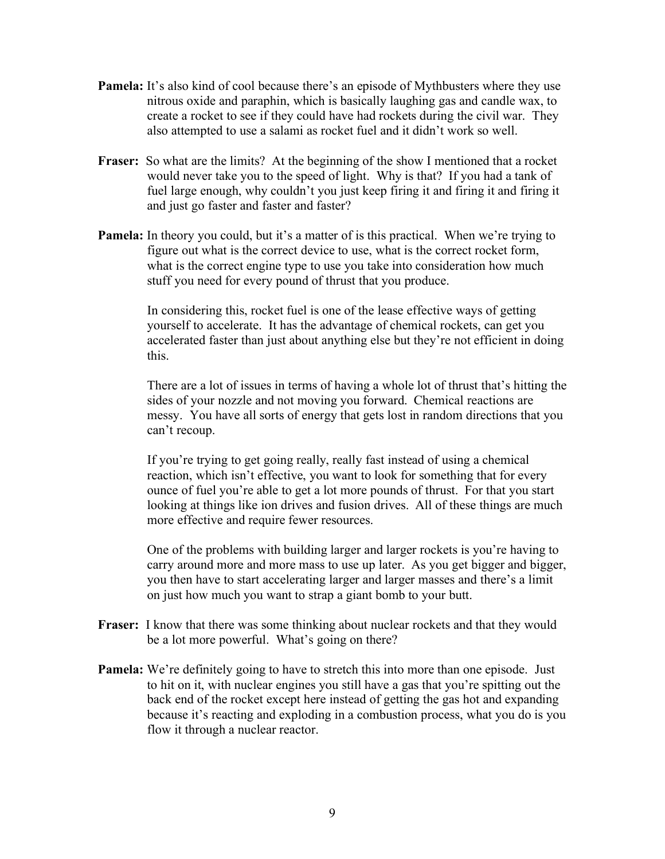- **Pamela:** It's also kind of cool because there's an episode of Mythbusters where they use nitrous oxide and paraphin, which is basically laughing gas and candle wax, to create a rocket to see if they could have had rockets during the civil war. They also attempted to use a salami as rocket fuel and it didn't work so well.
- **Fraser:** So what are the limits? At the beginning of the show I mentioned that a rocket would never take you to the speed of light. Why is that? If you had a tank of fuel large enough, why couldn't you just keep firing it and firing it and firing it and just go faster and faster and faster?
- **Pamela:** In theory you could, but it's a matter of is this practical. When we're trying to figure out what is the correct device to use, what is the correct rocket form, what is the correct engine type to use you take into consideration how much stuff you need for every pound of thrust that you produce.

In considering this, rocket fuel is one of the lease effective ways of getting yourself to accelerate. It has the advantage of chemical rockets, can get you accelerated faster than just about anything else but they're not efficient in doing this.

There are a lot of issues in terms of having a whole lot of thrust that's hitting the sides of your nozzle and not moving you forward. Chemical reactions are messy. You have all sorts of energy that gets lost in random directions that you can't recoup.

If you're trying to get going really, really fast instead of using a chemical reaction, which isn't effective, you want to look for something that for every ounce of fuel you're able to get a lot more pounds of thrust. For that you start looking at things like ion drives and fusion drives. All of these things are much more effective and require fewer resources.

One of the problems with building larger and larger rockets is you're having to carry around more and more mass to use up later. As you get bigger and bigger, you then have to start accelerating larger and larger masses and there's a limit on just how much you want to strap a giant bomb to your butt.

- **Fraser:** I know that there was some thinking about nuclear rockets and that they would be a lot more powerful. What's going on there?
- **Pamela:** We're definitely going to have to stretch this into more than one episode. Just to hit on it, with nuclear engines you still have a gas that you're spitting out the back end of the rocket except here instead of getting the gas hot and expanding because it's reacting and exploding in a combustion process, what you do is you flow it through a nuclear reactor.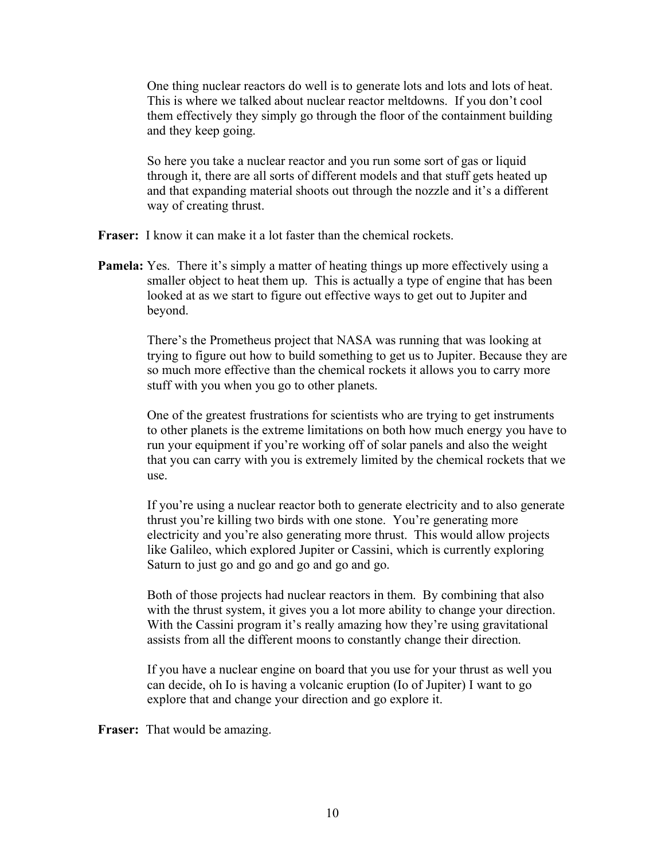One thing nuclear reactors do well is to generate lots and lots and lots of heat. This is where we talked about nuclear reactor meltdowns. If you don't cool them effectively they simply go through the floor of the containment building and they keep going.

So here you take a nuclear reactor and you run some sort of gas or liquid through it, there are all sorts of different models and that stuff gets heated up and that expanding material shoots out through the nozzle and it's a different way of creating thrust.

**Fraser:** I know it can make it a lot faster than the chemical rockets.

**Pamela:** Yes. There it's simply a matter of heating things up more effectively using a smaller object to heat them up. This is actually a type of engine that has been looked at as we start to figure out effective ways to get out to Jupiter and beyond.

> There's the Prometheus project that NASA was running that was looking at trying to figure out how to build something to get us to Jupiter. Because they are so much more effective than the chemical rockets it allows you to carry more stuff with you when you go to other planets.

> One of the greatest frustrations for scientists who are trying to get instruments to other planets is the extreme limitations on both how much energy you have to run your equipment if you're working off of solar panels and also the weight that you can carry with you is extremely limited by the chemical rockets that we use.

> If you're using a nuclear reactor both to generate electricity and to also generate thrust you're killing two birds with one stone. You're generating more electricity and you're also generating more thrust. This would allow projects like Galileo, which explored Jupiter or Cassini, which is currently exploring Saturn to just go and go and go and go and go.

Both of those projects had nuclear reactors in them. By combining that also with the thrust system, it gives you a lot more ability to change your direction. With the Cassini program it's really amazing how they're using gravitational assists from all the different moons to constantly change their direction.

If you have a nuclear engine on board that you use for your thrust as well you can decide, oh Io is having a volcanic eruption (Io of Jupiter) I want to go explore that and change your direction and go explore it.

**Fraser:** That would be amazing.